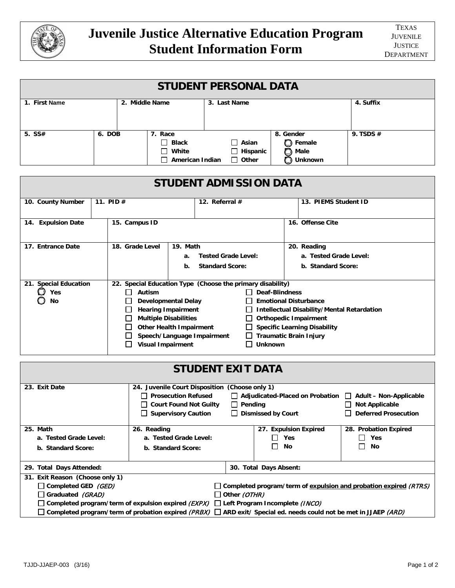

| <b>STUDENT PERSONAL DATA</b>  |                |                                                                     |                                                 |                                         |                        |             |
|-------------------------------|----------------|---------------------------------------------------------------------|-------------------------------------------------|-----------------------------------------|------------------------|-------------|
| 1. First Name                 | 2. Middle Name |                                                                     | 3. Last Name                                    |                                         |                        | 4. Suffix   |
| 5. $SS#$                      | 6. DOB         | 7. Race<br>Black<br>$\mathsf{L}$<br>White<br>l 1<br>American Indian | $\Box$ Asian<br>$\Box$ Hispanic<br>$\Box$ Other | 8. Gender<br><b>D</b> Female<br>◠<br>ΓD | Male<br><b>Unknown</b> | 9. TSDS $#$ |
| <b>STUDENT ADMISSION DATA</b> |                |                                                                     |                                                 |                                         |                        |             |
| 10. County Number             | 11. PID $#$    |                                                                     | 12. Referral $#$                                |                                         | 13. PIEMS Student ID   |             |
| <b>Expulsion Date</b><br>14.  | 15. Campus ID  |                                                                     |                                                 |                                         | 16. Offense Cite       |             |

| 17. Entrance Date     | 18. Grade Level                                                                         | 19. Math                         |                              | 20. Reading                                       |  |  |
|-----------------------|-----------------------------------------------------------------------------------------|----------------------------------|------------------------------|---------------------------------------------------|--|--|
|                       |                                                                                         | <b>Tested Grade Level:</b><br>а. |                              | a. Tested Grade Level:                            |  |  |
|                       |                                                                                         | <b>Standard Score:</b><br>b.     |                              | b. Standard Score:                                |  |  |
|                       |                                                                                         |                                  |                              |                                                   |  |  |
| 21. Special Education | 22. Special Education Type (Choose the primary disability)                              |                                  |                              |                                                   |  |  |
| Yes                   | Autism                                                                                  |                                  | Deaf-Blindness               |                                                   |  |  |
| No                    | <b>Developmental Delay</b><br><b>Hearing Impairment</b><br><b>Multiple Disabilities</b> |                                  | <b>Emotional Disturbance</b> |                                                   |  |  |
|                       |                                                                                         |                                  |                              | <b>Intellectual Disability/Mental Retardation</b> |  |  |
|                       |                                                                                         |                                  | <b>Orthopedic Impairment</b> |                                                   |  |  |
|                       |                                                                                         | <b>Other Health Impairment</b>   |                              | <b>Specific Learning Disability</b>               |  |  |
|                       |                                                                                         | Speech/Language Impairment       |                              | <b>Traumatic Brain Injury</b>                     |  |  |
|                       | <b>Visual Impairment</b>                                                                |                                  | Unknown                      |                                                   |  |  |

| <b>STUDENT EXIT DATA</b>                                                                                                                                                                                                                                                                                                                                                                                                 |                                                                                                                                                                                                                                                                                                                               |  |                                    |                                                                                  |  |  |
|--------------------------------------------------------------------------------------------------------------------------------------------------------------------------------------------------------------------------------------------------------------------------------------------------------------------------------------------------------------------------------------------------------------------------|-------------------------------------------------------------------------------------------------------------------------------------------------------------------------------------------------------------------------------------------------------------------------------------------------------------------------------|--|------------------------------------|----------------------------------------------------------------------------------|--|--|
| 23. Exit Date                                                                                                                                                                                                                                                                                                                                                                                                            | 24. Juvenile Court Disposition (Choose only 1)<br><b>Prosecution Refused</b><br>$\Box$ Adjudicated-Placed on Probation<br><b>Adult - Non-Applicable</b><br><b>Court Found Not Guilty</b><br>$\Box$ Pending<br><b>Not Applicable</b><br><b>Deferred Prosecution</b><br><b>Supervisory Caution</b><br>$\Box$ Dismissed by Court |  |                                    |                                                                                  |  |  |
| 25. Math<br>a. Tested Grade Level:<br>b. Standard Score:                                                                                                                                                                                                                                                                                                                                                                 | 26. Reading<br>a. Tested Grade Level:<br>b. Standard Score:                                                                                                                                                                                                                                                                   |  | 27. Expulsion Expired<br>Yes<br>No | <b>Probation Expired</b><br>28.<br>Yes<br>$\blacksquare$<br>No<br>$\blacksquare$ |  |  |
| 29. Total Days Attended:                                                                                                                                                                                                                                                                                                                                                                                                 |                                                                                                                                                                                                                                                                                                                               |  | 30. Total Days Absent:             |                                                                                  |  |  |
| 31. Exit Reason (Choose only 1)<br>□ Completed GED (GED)<br>$\Box$ Completed program/term of expulsion and probation expired (RTRS)<br>Graduated (GRAD)<br>$\Box$ Other (OTHR)<br>$\Box$ Completed program⁄term of expulsion expired <i>(EXPX)</i> $\Box$ Left Program Incomplete <i>(INCO)</i><br>Completed program/term of probation expired (PRBX) $\Box$ ARD exit/ Special ed. needs could not be met in JJAEP (ARD) |                                                                                                                                                                                                                                                                                                                               |  |                                    |                                                                                  |  |  |